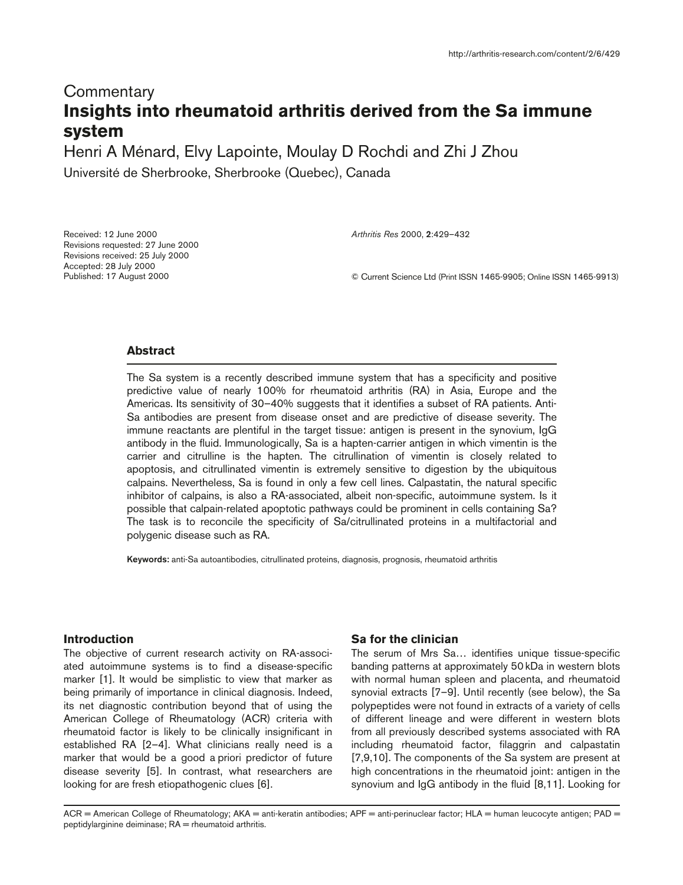# **Commentary Insights into rheumatoid arthritis derived from the Sa immune system**

Henri A Ménard, Elvy Lapointe, Moulay D Rochdi and Zhi J Zhou

Université de Sherbrooke, Sherbrooke (Quebec), Canada

Received: 12 June 2000 Revisions requested: 27 June 2000 Revisions received: 25 July 2000 Accepted: 28 July 2000 Published: 17 August 2000

*Arthritis Res* 2000, **2**:429–432

© Current Science Ltd (Print ISSN 1465-9905; Online ISSN 1465-9913)

## **Abstract**

The Sa system is a recently described immune system that has a specificity and positive predictive value of nearly 100% for rheumatoid arthritis (RA) in Asia, Europe and the Americas. Its sensitivity of 30–40% suggests that it identifies a subset of RA patients. Anti-Sa antibodies are present from disease onset and are predictive of disease severity. The immune reactants are plentiful in the target tissue: antigen is present in the synovium, IgG antibody in the fluid. Immunologically, Sa is a hapten-carrier antigen in which vimentin is the carrier and citrulline is the hapten. The citrullination of vimentin is closely related to apoptosis, and citrullinated vimentin is extremely sensitive to digestion by the ubiquitous calpains. Nevertheless, Sa is found in only a few cell lines. Calpastatin, the natural specific inhibitor of calpains, is also a RA-associated, albeit non-specific, autoimmune system. Is it possible that calpain-related apoptotic pathways could be prominent in cells containing Sa? The task is to reconcile the specificity of Sa/citrullinated proteins in a multifactorial and polygenic disease such as RA.

**Keywords:** anti-Sa autoantibodies, citrullinated proteins, diagnosis, prognosis, rheumatoid arthritis

### **Introduction**

The objective of current research activity on RA-associated autoimmune systems is to find a disease-specific marker [1]. It would be simplistic to view that marker as being primarily of importance in clinical diagnosis. Indeed, its net diagnostic contribution beyond that of using the American College of Rheumatology (ACR) criteria with rheumatoid factor is likely to be clinically insignificant in established RA [2–4]. What clinicians really need is a marker that would be a good a priori predictor of future disease severity [5]. In contrast, what researchers are looking for are fresh etiopathogenic clues [6].

#### **Sa for the clinician**

The serum of Mrs Sa… identifies unique tissue-specific banding patterns at approximately 50 kDa in western blots with normal human spleen and placenta, and rheumatoid synovial extracts [7–9]. Until recently (see below), the Sa polypeptides were not found in extracts of a variety of cells of different lineage and were different in western blots from all previously described systems associated with RA including rheumatoid factor, filaggrin and calpastatin [7,9,10]. The components of the Sa system are present at high concentrations in the rheumatoid joint: antigen in the synovium and IgG antibody in the fluid [8,11]. Looking for

ACR = American College of Rheumatology; AKA = anti-keratin antibodies; APF = anti-perinuclear factor; HLA = human leucocyte antigen; PAD =  $p$ eptidylarginine deiminase;  $RA =$  rheumatoid arthritis.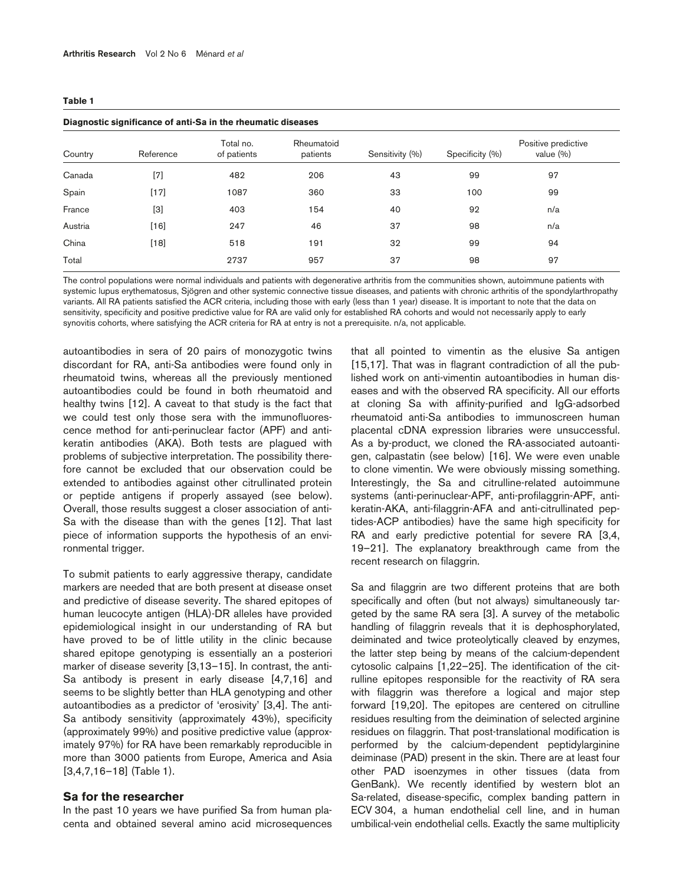| × | ×<br>I |  |
|---|--------|--|
|---|--------|--|

#### **Diagnostic significance of anti-Sa in the rheumatic diseases**

| Country | Reference | Total no.<br>of patients | Rheumatoid<br>patients | Sensitivity (%) | Specificity (%) | Positive predictive<br>value (%) |
|---------|-----------|--------------------------|------------------------|-----------------|-----------------|----------------------------------|
| Canada  | $[7]$     | 482                      | 206                    | 43              | 99              | 97                               |
| Spain   | $[17]$    | 1087                     | 360                    | 33              | 100             | 99                               |
| France  | $[3]$     | 403                      | 154                    | 40              | 92              | n/a                              |
| Austria | $[16]$    | 247                      | 46                     | 37              | 98              | n/a                              |
| China   | $[18]$    | 518                      | 191                    | 32              | 99              | 94                               |
| Total   |           | 2737                     | 957                    | 37              | 98              | 97                               |

The control populations were normal individuals and patients with degenerative arthritis from the communities shown, autoimmune patients with systemic lupus erythematosus, Sjögren and other systemic connective tissue diseases, and patients with chronic arthritis of the spondylarthropathy variants. All RA patients satisfied the ACR criteria, including those with early (less than 1 year) disease. It is important to note that the data on sensitivity, specificity and positive predictive value for RA are valid only for established RA cohorts and would not necessarily apply to early synovitis cohorts, where satisfying the ACR criteria for RA at entry is not a prerequisite. n/a, not applicable.

autoantibodies in sera of 20 pairs of monozygotic twins discordant for RA, anti-Sa antibodies were found only in rheumatoid twins, whereas all the previously mentioned autoantibodies could be found in both rheumatoid and healthy twins [12]. A caveat to that study is the fact that we could test only those sera with the immunofluorescence method for anti-perinuclear factor (APF) and antikeratin antibodies (AKA). Both tests are plagued with problems of subjective interpretation. The possibility therefore cannot be excluded that our observation could be extended to antibodies against other citrullinated protein or peptide antigens if properly assayed (see below). Overall, those results suggest a closer association of anti-Sa with the disease than with the genes [12]. That last piece of information supports the hypothesis of an environmental trigger.

To submit patients to early aggressive therapy, candidate markers are needed that are both present at disease onset and predictive of disease severity. The shared epitopes of human leucocyte antigen (HLA)-DR alleles have provided epidemiological insight in our understanding of RA but have proved to be of little utility in the clinic because shared epitope genotyping is essentially an a posteriori marker of disease severity [3,13–15]. In contrast, the anti-Sa antibody is present in early disease [4,7,16] and seems to be slightly better than HLA genotyping and other autoantibodies as a predictor of 'erosivity' [3,4]. The anti-Sa antibody sensitivity (approximately 43%), specificity (approximately 99%) and positive predictive value (approximately 97%) for RA have been remarkably reproducible in more than 3000 patients from Europe, America and Asia [3,4,7,16–18] (Table 1).

#### **Sa for the researcher**

In the past 10 years we have purified Sa from human placenta and obtained several amino acid microsequences that all pointed to vimentin as the elusive Sa antigen [15,17]. That was in flagrant contradiction of all the published work on anti-vimentin autoantibodies in human diseases and with the observed RA specificity. All our efforts at cloning Sa with affinity-purified and IgG-adsorbed rheumatoid anti-Sa antibodies to immunoscreen human placental cDNA expression libraries were unsuccessful. As a by-product, we cloned the RA-associated autoantigen, calpastatin (see below) [16]. We were even unable to clone vimentin. We were obviously missing something. Interestingly, the Sa and citrulline-related autoimmune systems (anti-perinuclear-APF, anti-profilaggrin-APF, antikeratin-AKA, anti-filaggrin-AFA and anti-citrullinated peptides-ACP antibodies) have the same high specificity for RA and early predictive potential for severe RA [3,4, 19–21]. The explanatory breakthrough came from the recent research on filaggrin.

Sa and filaggrin are two different proteins that are both specifically and often (but not always) simultaneously targeted by the same RA sera [3]. A survey of the metabolic handling of filaggrin reveals that it is dephosphorylated, deiminated and twice proteolytically cleaved by enzymes, the latter step being by means of the calcium-dependent cytosolic calpains [1,22–25]. The identification of the citrulline epitopes responsible for the reactivity of RA sera with filaggrin was therefore a logical and major step forward [19,20]. The epitopes are centered on citrulline residues resulting from the deimination of selected arginine residues on filaggrin. That post-translational modification is performed by the calcium-dependent peptidylarginine deiminase (PAD) present in the skin. There are at least four other PAD isoenzymes in other tissues (data from GenBank). We recently identified by western blot an Sa-related, disease-specific, complex banding pattern in ECV 304, a human endothelial cell line, and in human umbilical-vein endothelial cells. Exactly the same multiplicity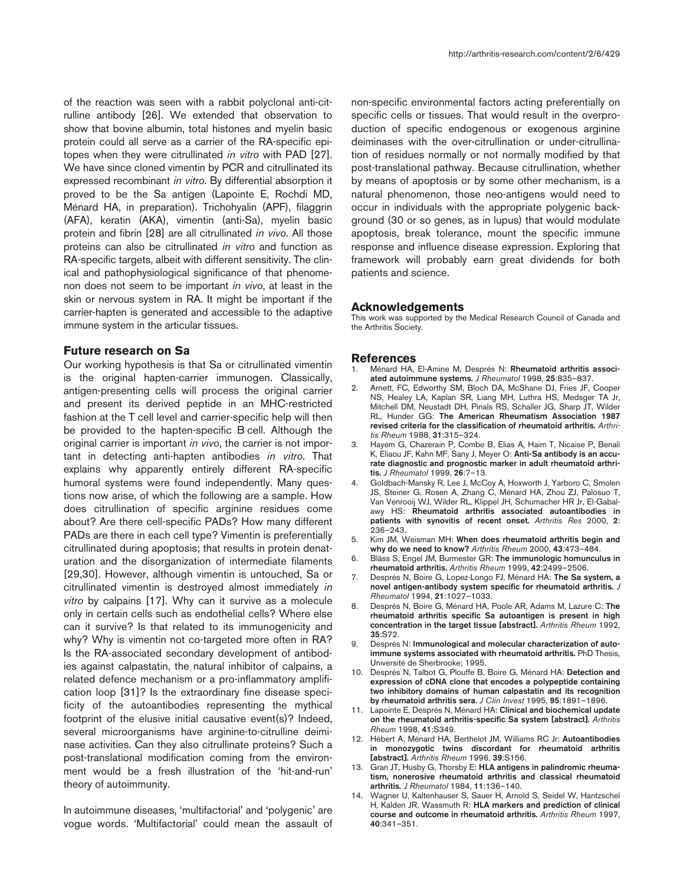of the reaction was seen with a rabbit polyclonal anti-citrulline antibody [26]. We extended that observation to show that bovine albumin, total histones and myelin basic protein could all serve as a carrier of the RA-specific epitopes when they were citrullinated *in vitro* with PAD [27]. We have since cloned vimentin by PCR and citrullinated its expressed recombinant *in vitro*. By differential absorption it proved to be the Sa antigen (Lapointe E, Rochdi MD, Ménard HA, in preparation). Trichohyalin (APF), filaggrin (AFA), keratin (AKA), vimentin (anti-Sa), myelin basic protein and fibrin [28] are all citrullinated *in vivo*. All those proteins can also be citrullinated *in vitro* and function as RA-specific targets, albeit with different sensitivity. The clinical and pathophysiological significance of that phenomenon does not seem to be important *in vivo*, at least in the skin or nervous system in RA. It might be important if the carrier-hapten is generated and accessible to the adaptive immune system in the articular tissues.

#### **Future research on Sa**

Our working hypothesis is that Sa or citrullinated vimentin is the original hapten-carrier immunogen. Classically, antigen-presenting cells will process the original carrier and present its derived peptide in an MHC-restricted fashion at the T cell level and carrier-specific help will then be provided to the hapten-specific B cell. Although the original carrier is important *in vivo*, the carrier is not important in detecting anti-hapten antibodies *in vitro*. That explains why apparently entirely different RA-specific humoral systems were found independently. Many questions now arise, of which the following are a sample. How does citrullination of specific arginine residues come about? Are there cell-specific PADs? How many different PADs are there in each cell type? Vimentin is preferentially citrullinated during apoptosis; that results in protein denaturation and the disorganization of intermediate filaments [29,30]. However, although vimentin is untouched, Sa or citrullinated vimentin is destroyed almost immediately *in vitro* by calpains [17]. Why can it survive as a molecule only in certain cells such as endothelial cells? Where else can it survive? Is that related to its immunogenicity and why? Why is vimentin not co-targeted more often in RA? Is the RA-associated secondary development of antibodies against calpastatin, the natural inhibitor of calpains, a related defence mechanism or a pro-inflammatory amplification loop [31]? Is the extraordinary fine disease specificity of the autoantibodies representing the mythical footprint of the elusive initial causative event(s)? Indeed, several microorganisms have arginine-to-citrulline deiminase activities. Can they also citrullinate proteins? Such a post-translational modification coming from the environment would be a fresh illustration of the 'hit-and-run' theory of autoimmunity.

In autoimmune diseases, 'multifactorial' and 'polygenic' are vogue words. 'Multifactorial' could mean the assault of non-specific environmental factors acting preferentially on specific cells or tissues. That would result in the overproduction of specific endogenous or exogenous arginine deiminases with the over-citrullination or under-citrullination of residues normally or not normally modified by that post-translational pathway. Because citrullination, whether by means of apoptosis or by some other mechanism, is a natural phenomenon, those neo-antigens would need to occur in individuals with the appropriate polygenic background (30 or so genes, as in lupus) that would modulate apoptosis, break tolerance, mount the specific immune response and influence disease expression. Exploring that framework will probably earn great dividends for both patients and science.

#### **Acknowledgements**

This work was supported by the Medical Research Council of Canada and the Arthritis Society.

## **References**<br>1. Ménard HA.

- Ménard HA, El-Amine M, Després N: Rheumatoid arthritis associ**ated autoimmune systems.** *J Rheumatol* 1998, **25**:835–837.
- 2. Arnett, FC, Edworthy SM, Bloch DA, McShane DJ, Fries JF, Cooper NS, Healey LA, Kaplan SR, Liang MH, Luthra HS, Medsger TA Jr, Mitchell DM, Neustadt DH, Pinals RS, Schaller JG, Sharp JT, Wilder RL, Hunder GG: **The American Rheumatism Association 1987 revised criteria for the classification of rheumatoid arthritis.** *Arthritis Rheum* 1988, **31**:315–324.
- 3. Hayem G, Chazerain P, Combe B, Elias A, Haim T, Nicaise P, Benali K, Eliaou JF, Kahn MF, Sany J, Meyer O: **Anti-Sa antibody is an accurate diagnostic and prognostic marker in adult rheumatoid arthritis.** *J Rheumatol* 1999, **26**:7–13.
- 4. Goldbach-Mansky R, Lee J, McCoy A, Hoxworth J, Yarboro C, Smolen JS, Steiner G, Rosen A, Zhang C, Ménard HA, Zhou ZJ, Palosuo T, Van Venrooij WJ, Wilder RL, Klippel JH, Schumacher HR Jr, El-Gabalawy HS: **Rheumatoid arthritis associated autoantibodies in patients with synovitis of recent onset.** *Arthritis Res* 2000, **2**: 236–243.
- 5. Kim JM, Weisman MH: **When does rheumatoid arthritis begin and why do we need to know?** *Arthritis Rheum* 2000, **43**:473–484.
- 6. Bläss S, Engel JM, Burmester GR: **The immunologic homunculus in rheumatoid arthritis.** *Arthritis Rheum* 1999, **42**:2499–2506.
- 7. Després N, Boire G, Lopez-Longo FJ, Ménard HA: **The Sa system, a novel antigen-antibody system specific for rheumatoid arthritis.** *J Rheumatol* 1994, **21**:1027–1033.
- 8. Després N, Boire G, Ménard HA, Poole AR, Adams M, Lazure C: **The rheumatoid arthritis specific Sa autoantigen is present in high concentration in the target tissue [abstract].** *Arthritis Rheum* 1992, **35**:S72.
- 9. Després N: **Immunological and molecular characterization of autoimmune systems associated with rheumatoid arthritis.** PhD Thesis, Université de Sherbrooke; 1995.
- 10. Després N, Talbot G, Plouffe B, Boire G, Ménard HA: **Detection and expression of cDNA clone that encodes a polypeptide containing two inhibitory domains of human calpastatin and its recognition by rheumatoid arthritis sera.** *J Clin Invest* 1995, **95**:1891–1896.
- 11. Lapointe E, Després N, Ménard HA: **Clinical and biochemical update on the rheumatoid arthritis-specific Sa system [abstract].** *Arthritis Rheum* 1998, **41**:S349.
- 12. Hébert A, Ménard HA, Berthelot JM, Williams RC Jr: **Autoantibodies in monozygotic twins discordant for rheumatoid arthritis [abstract].** *Arthritis Rheum* 1996, **39**:S156.
- 13. Gran JT, Husby G, Thorsby E: **HLA antigens in palindromic rheumatism, nonerosive rheumatoid arthritis and classical rheumatoid arthritis.** *J Rheumatol* 1984, **11**:136–140.
- 14. Wagner U, Kaltenhauser S, Sauer H, Arnold S, Seidel W, Hantzschel H, Kalden JR, Wassmuth R: **HLA markers and prediction of clinical course and outcome in rheumatoid arthritis.** *Arthritis Rheum* 1997, **40**:341–351.